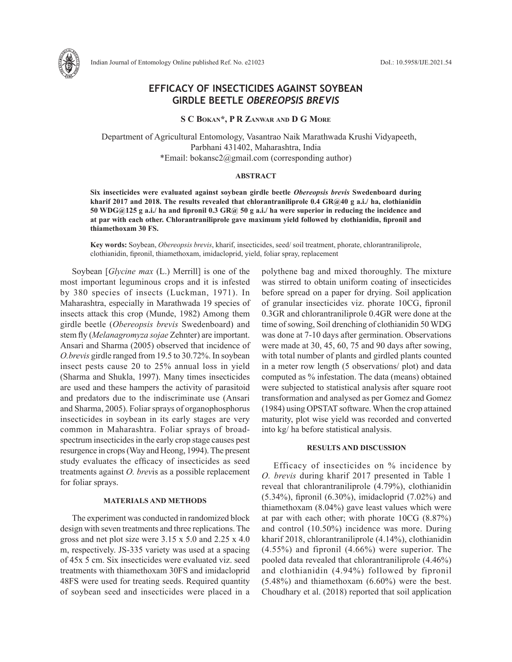

# **EFFICACY OF INSECTICIDES AGAINST SOYBEAN GIRDLE BEETLE** *OBEREOPSIS BREVIS*

### **S C Bokan\*, P R Zanwar and D G More**

 Department of Agricultural Entomology, Vasantrao Naik Marathwada Krushi Vidyapeeth, Parbhani 431402, Maharashtra, India \*Email: bokansc2@gmail.com (corresponding author)

#### **ABSTRACT**

**Six insecticides were evaluated against soybean girdle beetle** *Obereopsis brevis* **Swedenboard during kharif 2017 and 2018. The results revealed that chlorantraniliprole 0.4 GR@40 g a.i./ ha, clothianidin 50 WDG@125 g a.i./ ha and fipronil 0.3 GR@ 50 g a.i./ ha were superior in reducing the incidence and at par with each other. Chlorantraniliprole gave maximum yield followed by clothianidin, fipronil and thiamethoxam 30 FS.**

**Key words:** Soybean, *Obereopsis brevis*, kharif, insecticides, seed/ soil treatment, phorate, chlorantraniliprole, clothianidin, fipronil, thiamethoxam, imidacloprid, yield, foliar spray, replacement

Soybean [*Glycine max* (L.) Merrill] is one of the most important leguminous crops and it is infested by 380 species of insects (Luckman, 1971). In Maharashtra, especially in Marathwada 19 species of insects attack this crop (Munde, 1982) Among them girdle beetle (*Obereopsis brevis* Swedenboard) and stem fly (*Melanagromyza sojae* Zehnter) are important. Ansari and Sharma (2005) observed that incidence of *O.brevis* girdle ranged from 19.5 to 30.72%. In soybean insect pests cause 20 to 25% annual loss in yield (Sharma and Shukla, 1997). Many times insecticides are used and these hampers the activity of parasitoid and predators due to the indiscriminate use (Ansari and Sharma, 2005). Foliar sprays of organophosphorus insecticides in soybean in its early stages are very common in Maharashtra. Foliar sprays of broadspectrum insecticides in the early crop stage causes pest resurgence in crops (Way and Heong, 1994). The present study evaluates the efficacy of insecticides as seed treatments against *O. brev*is as a possible replacement for foliar sprays.

## **MATERIALS AND METHODS**

The experiment was conducted in randomized block design with seven treatments and three replications. The gross and net plot size were 3.15 x 5.0 and 2.25 x 4.0 m, respectively. JS-335 variety was used at a spacing of 45x 5 cm. Six insecticides were evaluated viz. seed treatments with thiamethoxam 30FS and imidacloprid 48FS were used for treating seeds. Required quantity of soybean seed and insecticides were placed in a polythene bag and mixed thoroughly. The mixture was stirred to obtain uniform coating of insecticides before spread on a paper for drying. Soil application of granular insecticides viz. phorate 10CG, fipronil 0.3GR and chlorantraniliprole 0.4GR were done at the time of sowing, Soil drenching of clothianidin 50 WDG was done at 7-10 days after germination. Observations were made at 30, 45, 60, 75 and 90 days after sowing, with total number of plants and girdled plants counted in a meter row length (5 observations/ plot) and data computed as % infestation. The data (means) obtained were subjected to statistical analysis after square root transformation and analysed as per Gomez and Gomez (1984) using OPSTAT software. When the crop attained maturity, plot wise yield was recorded and converted into kg/ ha before statistical analysis.

## **RESULTS AND DISCUSSION**

Efficacy of insecticides on % incidence by *O. brevis* during kharif 2017 presented in Table 1 reveal that chlorantraniliprole (4.79%), clothianidin (5.34%), fipronil (6.30%), imidacloprid (7.02%) and thiamethoxam (8.04%) gave least values which were at par with each other; with phorate 10CG (8.87%) and control (10.50%) incidence was more. During kharif 2018, chlorantraniliprole (4.14%), clothianidin (4.55%) and fipronil (4.66%) were superior. The pooled data revealed that chlorantraniliprole (4.46%) and clothianidin (4.94%) followed by fipronil (5.48%) and thiamethoxam (6.60%) were the best. Choudhary et al. (2018) reported that soil application